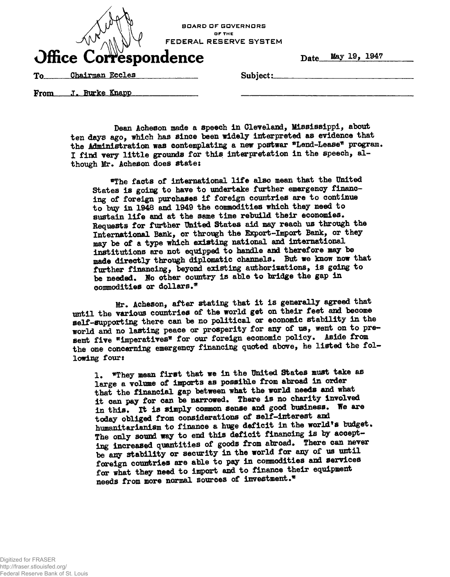| <b>BOARD OF GOVERNORS</b><br>OF THE<br>FEDERAL RESERVE SYSTEM<br>Office Correspondence |                    |          | Date | May 19, 1947 |  |
|----------------------------------------------------------------------------------------|--------------------|----------|------|--------------|--|
| To                                                                                     | Chairman Eccles    | Subject: |      |              |  |
| From                                                                                   | <b>Burke Knapp</b> |          |      |              |  |

**Dean Acheson made a speech in Cleveland, llisaiasippi, about ten days ago, which has aince been widely interpreted aa evidence that** the Administration was contemplating a new postwar \*Lend-Lease\* program. **I find very little grounda for thia interpretation in the apeech, although Mr. Acheson does atate;**

**\*The facta of international life alao mean that the United Statea ia going to have to undertake further emergency financing of foreign purchaaea if foreign countries are to continue to btgr in 1948 and 1949 the commodities which they need to auatain life and at the same time rebuild their economies. Bequests for further United Statea aid may reach ua through the International Bank, or through the Export-Import Bank, or they may be of a type which existing national and international institutions are not equipped to handle and therefore may be made directly through diplomatic channels. But we know now that further financing, beyond existing authorisations, ia going to be needed. Jfo other country is able to bridge the gap in** commodities or dollars.<sup>\*</sup>

**Mr. Acheaon, after atating that it ia generally agreed that until the various countries of the world get on their feet and become self-supporting there can be no political or economic stability in the world and no lasting peace or prosperity for any of us, went on to pre**sent five \*imperatives\* for our foreign economic policy. Aside from **the one concerning emergency financing quoted above, he listed the following four:**

**1\* \*They mean first that we in the United States must take as large a volume of imports as possible from abroad in order** that the financial gap between what the world needs and what **it can pay for can be narrowed. There ia no charity involved in this. It is simply common sense and good business. We are today obliged from considerations of self-interest and** humanitarianism to finance a huge deficit in the world's budget. The only sound way to end this deficit financing is by accept**ing increased quantities of goods from abroad. There can never be any stability or security in the world for any of us until foreign countries are able to pay in commodities and services** for what they need to import and to finance their equipment **needs from more normal sources of investment.\***